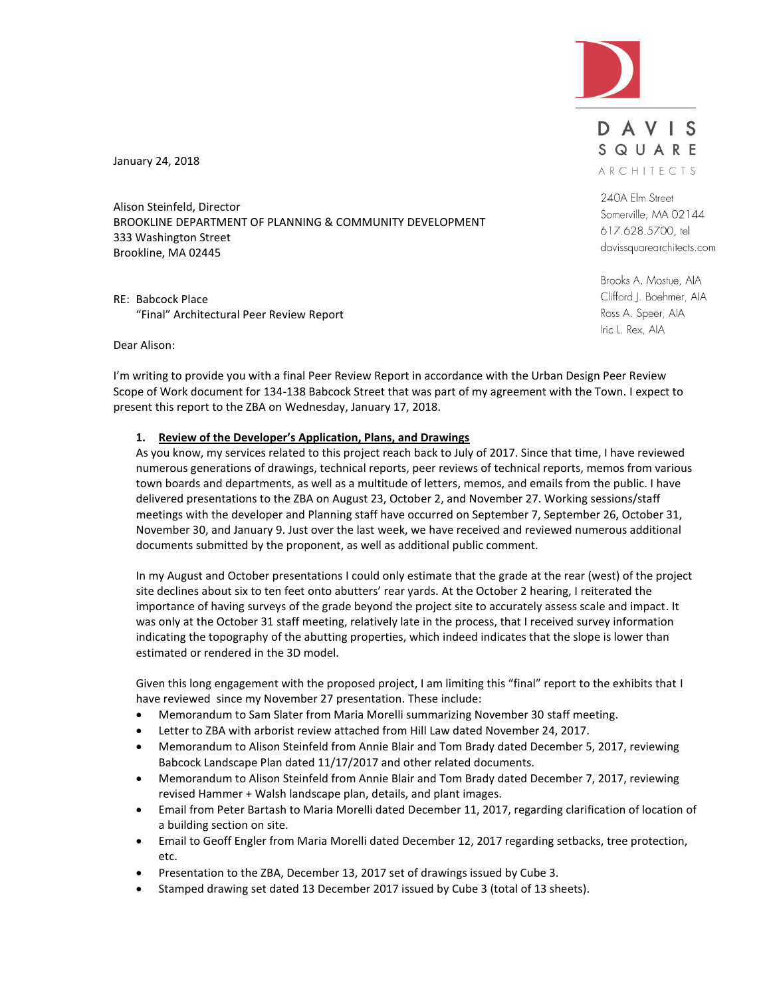

DAVIS SQUARE ARCHITECTS

240A Elm Street Somerville, MA 02144 617.628.5700, tel davissquarearchitects.com

Brooks A. Mostue, AIA Clifford J. Boehmer, AIA Ross A. Speer, AIA Iric L. Rex, AIA

January 24, 2018

Alison Steinfeld, Director BROOKLINE DEPARTMENT OF PLANNING & COMMUNITY DEVELOPMENT 333 Washington Street Brookline, MA 02445

RE: Babcock Place "Final" Architectural Peer Review Report

Dear Alison:

I'm writing to provide you with a final Peer Review Report in accordance with the Urban Design Peer Review Scope of Work document for 134-138 Babcock Street that was part of my agreement with the Town. I expect to present this report to the ZBA on Wednesday, January 17, 2018.

# **1. Review of the Developer's Application, Plans, and Drawings**

As you know, my services related to this project reach back to July of 2017. Since that time, I have reviewed numerous generations of drawings, technical reports, peer reviews of technical reports, memos from various town boards and departments, as well as a multitude of letters, memos, and emails from the public. I have delivered presentations to the ZBA on August 23, October 2, and November 27. Working sessions/staff meetings with the developer and Planning staff have occurred on September 7, September 26, October 31, November 30, and January 9. Just over the last week, we have received and reviewed numerous additional documents submitted by the proponent, as well as additional public comment.

In my August and October presentations I could only estimate that the grade at the rear (west) of the project site declines about six to ten feet onto abutters' rear yards. At the October 2 hearing, I reiterated the importance of having surveys of the grade beyond the project site to accurately assess scale and impact. It was only at the October 31 staff meeting, relatively late in the process, that I received survey information indicating the topography of the abutting properties, which indeed indicates that the slope is lower than estimated or rendered in the 3D model.

Given this long engagement with the proposed project, I am limiting this "final" report to the exhibits that I have reviewed since my November 27 presentation. These include:

- Memorandum to Sam Slater from Maria Morelli summarizing November 30 staff meeting.
- Letter to ZBA with arborist review attached from Hill Law dated November 24, 2017.
- Memorandum to Alison Steinfeld from Annie Blair and Tom Brady dated December 5, 2017, reviewing Babcock Landscape Plan dated 11/17/2017 and other related documents.
- Memorandum to Alison Steinfeld from Annie Blair and Tom Brady dated December 7, 2017, reviewing revised Hammer + Walsh landscape plan, details, and plant images.
- Email from Peter Bartash to Maria Morelli dated December 11, 2017, regarding clarification of location of a building section on site.
- Email to Geoff Engler from Maria Morelli dated December 12, 2017 regarding setbacks, tree protection, etc.
- Presentation to the ZBA, December 13, 2017 set of drawings issued by Cube 3.
- Stamped drawing set dated 13 December 2017 issued by Cube 3 (total of 13 sheets).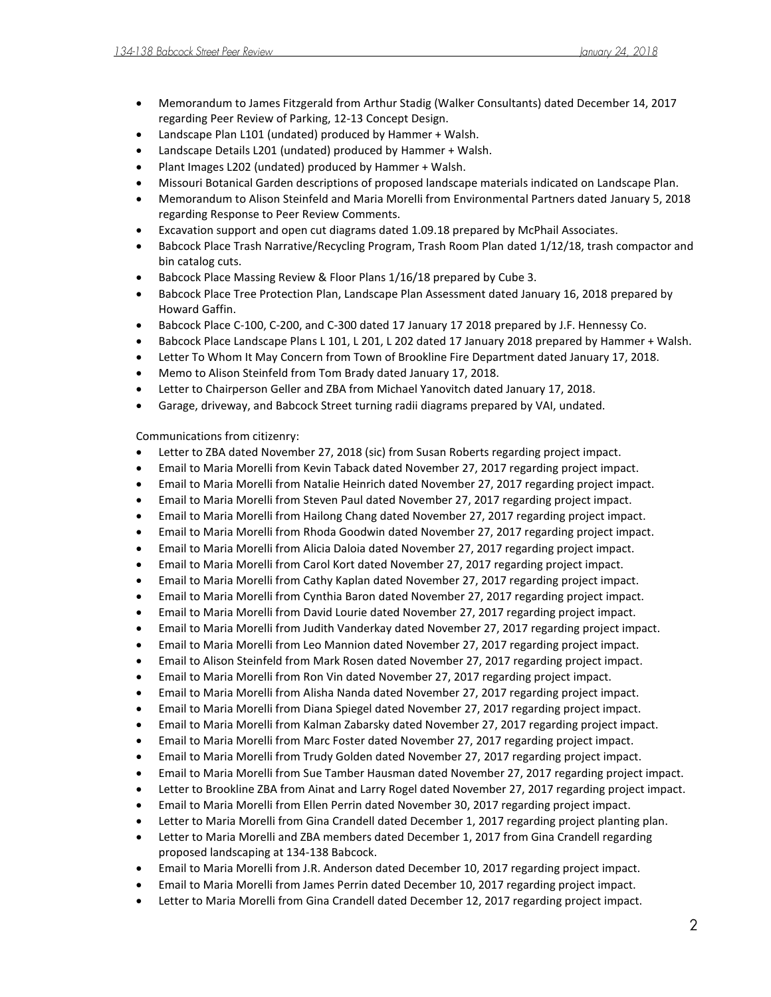- Memorandum to James Fitzgerald from Arthur Stadig (Walker Consultants) dated December 14, 2017 regarding Peer Review of Parking, 12-13 Concept Design.
- Landscape Plan L101 (undated) produced by Hammer + Walsh.
- Landscape Details L201 (undated) produced by Hammer + Walsh.
- Plant Images L202 (undated) produced by Hammer + Walsh.
- Missouri Botanical Garden descriptions of proposed landscape materials indicated on Landscape Plan.
- Memorandum to Alison Steinfeld and Maria Morelli from Environmental Partners dated January 5, 2018 regarding Response to Peer Review Comments.
- Excavation support and open cut diagrams dated 1.09.18 prepared by McPhail Associates.
- Babcock Place Trash Narrative/Recycling Program, Trash Room Plan dated 1/12/18, trash compactor and bin catalog cuts.
- Babcock Place Massing Review & Floor Plans 1/16/18 prepared by Cube 3.
- Babcock Place Tree Protection Plan, Landscape Plan Assessment dated January 16, 2018 prepared by Howard Gaffin.
- Babcock Place C-100, C-200, and C-300 dated 17 January 17 2018 prepared by J.F. Hennessy Co.
- Babcock Place Landscape Plans L 101, L 201, L 202 dated 17 January 2018 prepared by Hammer + Walsh.
- Letter To Whom It May Concern from Town of Brookline Fire Department dated January 17, 2018.
- Memo to Alison Steinfeld from Tom Brady dated January 17, 2018.
- Letter to Chairperson Geller and ZBA from Michael Yanovitch dated January 17, 2018.
- Garage, driveway, and Babcock Street turning radii diagrams prepared by VAI, undated.

Communications from citizenry:

- Letter to ZBA dated November 27, 2018 (sic) from Susan Roberts regarding project impact.
- Email to Maria Morelli from Kevin Taback dated November 27, 2017 regarding project impact.
- Email to Maria Morelli from Natalie Heinrich dated November 27, 2017 regarding project impact.
- Email to Maria Morelli from Steven Paul dated November 27, 2017 regarding project impact.
- Email to Maria Morelli from Hailong Chang dated November 27, 2017 regarding project impact.
- Email to Maria Morelli from Rhoda Goodwin dated November 27, 2017 regarding project impact.
- Email to Maria Morelli from Alicia Daloia dated November 27, 2017 regarding project impact.
- Email to Maria Morelli from Carol Kort dated November 27, 2017 regarding project impact.
- Email to Maria Morelli from Cathy Kaplan dated November 27, 2017 regarding project impact.
- Email to Maria Morelli from Cynthia Baron dated November 27, 2017 regarding project impact.
- Email to Maria Morelli from David Lourie dated November 27, 2017 regarding project impact.
- Email to Maria Morelli from Judith Vanderkay dated November 27, 2017 regarding project impact.
- Email to Maria Morelli from Leo Mannion dated November 27, 2017 regarding project impact.
- Email to Alison Steinfeld from Mark Rosen dated November 27, 2017 regarding project impact.
- Email to Maria Morelli from Ron Vin dated November 27, 2017 regarding project impact.
- Email to Maria Morelli from Alisha Nanda dated November 27, 2017 regarding project impact.
- Email to Maria Morelli from Diana Spiegel dated November 27, 2017 regarding project impact.
- Email to Maria Morelli from Kalman Zabarsky dated November 27, 2017 regarding project impact.
- Email to Maria Morelli from Marc Foster dated November 27, 2017 regarding project impact.
- Email to Maria Morelli from Trudy Golden dated November 27, 2017 regarding project impact.
- Email to Maria Morelli from Sue Tamber Hausman dated November 27, 2017 regarding project impact.
- Letter to Brookline ZBA from Ainat and Larry Rogel dated November 27, 2017 regarding project impact.
- Email to Maria Morelli from Ellen Perrin dated November 30, 2017 regarding project impact.
- Letter to Maria Morelli from Gina Crandell dated December 1, 2017 regarding project planting plan.
- Letter to Maria Morelli and ZBA members dated December 1, 2017 from Gina Crandell regarding proposed landscaping at 134-138 Babcock.
- Email to Maria Morelli from J.R. Anderson dated December 10, 2017 regarding project impact.
- Email to Maria Morelli from James Perrin dated December 10, 2017 regarding project impact.
- Letter to Maria Morelli from Gina Crandell dated December 12, 2017 regarding project impact.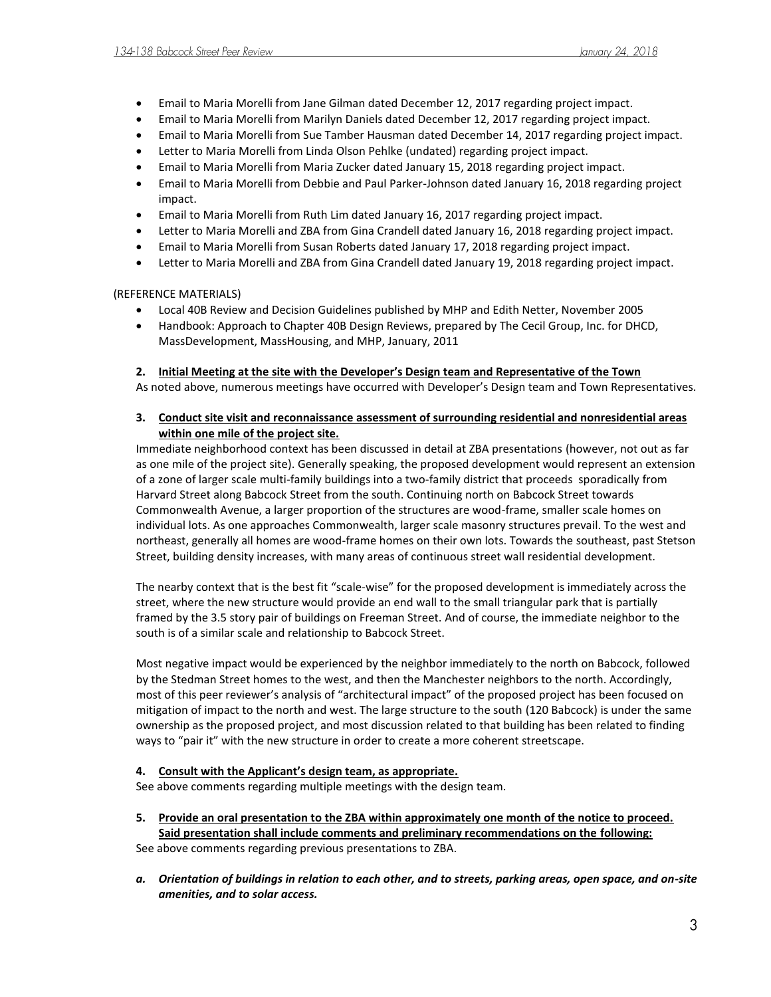- Email to Maria Morelli from Jane Gilman dated December 12, 2017 regarding project impact.
- Email to Maria Morelli from Marilyn Daniels dated December 12, 2017 regarding project impact.
- Email to Maria Morelli from Sue Tamber Hausman dated December 14, 2017 regarding project impact.
- Letter to Maria Morelli from Linda Olson Pehlke (undated) regarding project impact.
- Email to Maria Morelli from Maria Zucker dated January 15, 2018 regarding project impact.
- Email to Maria Morelli from Debbie and Paul Parker-Johnson dated January 16, 2018 regarding project impact.
- Email to Maria Morelli from Ruth Lim dated January 16, 2017 regarding project impact.
- Letter to Maria Morelli and ZBA from Gina Crandell dated January 16, 2018 regarding project impact.
- Email to Maria Morelli from Susan Roberts dated January 17, 2018 regarding project impact.
- Letter to Maria Morelli and ZBA from Gina Crandell dated January 19, 2018 regarding project impact.

#### (REFERENCE MATERIALS)

- Local 40B Review and Decision Guidelines published by MHP and Edith Netter, November 2005
- **Handbook: Approach to Chapter 40B Design Reviews, prepared by The Cecil Group, Inc. for DHCD,** MassDevelopment, MassHousing, and MHP, January, 2011

# **2. Initial Meeting at the site with the Developer's Design team and Representative of the Town**

As noted above, numerous meetings have occurred with Developer's Design team and Town Representatives.

# **3. Conduct site visit and reconnaissance assessment of surrounding residential and nonresidential areas within one mile of the project site.**

Immediate neighborhood context has been discussed in detail at ZBA presentations (however, not out as far as one mile of the project site). Generally speaking, the proposed development would represent an extension of a zone of larger scale multi-family buildings into a two-family district that proceeds sporadically from Harvard Street along Babcock Street from the south. Continuing north on Babcock Street towards Commonwealth Avenue, a larger proportion of the structures are wood-frame, smaller scale homes on individual lots. As one approaches Commonwealth, larger scale masonry structures prevail. To the west and northeast, generally all homes are wood-frame homes on their own lots. Towards the southeast, past Stetson Street, building density increases, with many areas of continuous street wall residential development.

The nearby context that is the best fit "scale-wise" for the proposed development is immediately across the street, where the new structure would provide an end wall to the small triangular park that is partially framed by the 3.5 story pair of buildings on Freeman Street. And of course, the immediate neighbor to the south is of a similar scale and relationship to Babcock Street.

Most negative impact would be experienced by the neighbor immediately to the north on Babcock, followed by the Stedman Street homes to the west, and then the Manchester neighbors to the north. Accordingly, most of this peer reviewer's analysis of "architectural impact" of the proposed project has been focused on mitigation of impact to the north and west. The large structure to the south (120 Babcock) is under the same ownership as the proposed project, and most discussion related to that building has been related to finding ways to "pair it" with the new structure in order to create a more coherent streetscape.

# **4. Consult with the Applicant's design team, as appropriate.**

See above comments regarding multiple meetings with the design team.

**5. Provide an oral presentation to the ZBA within approximately one month of the notice to proceed. Said presentation shall include comments and preliminary recommendations on the following:**

See above comments regarding previous presentations to ZBA.

*a. Orientation of buildings in relation to each other, and to streets, parking areas, open space, and on-site amenities, and to solar access.*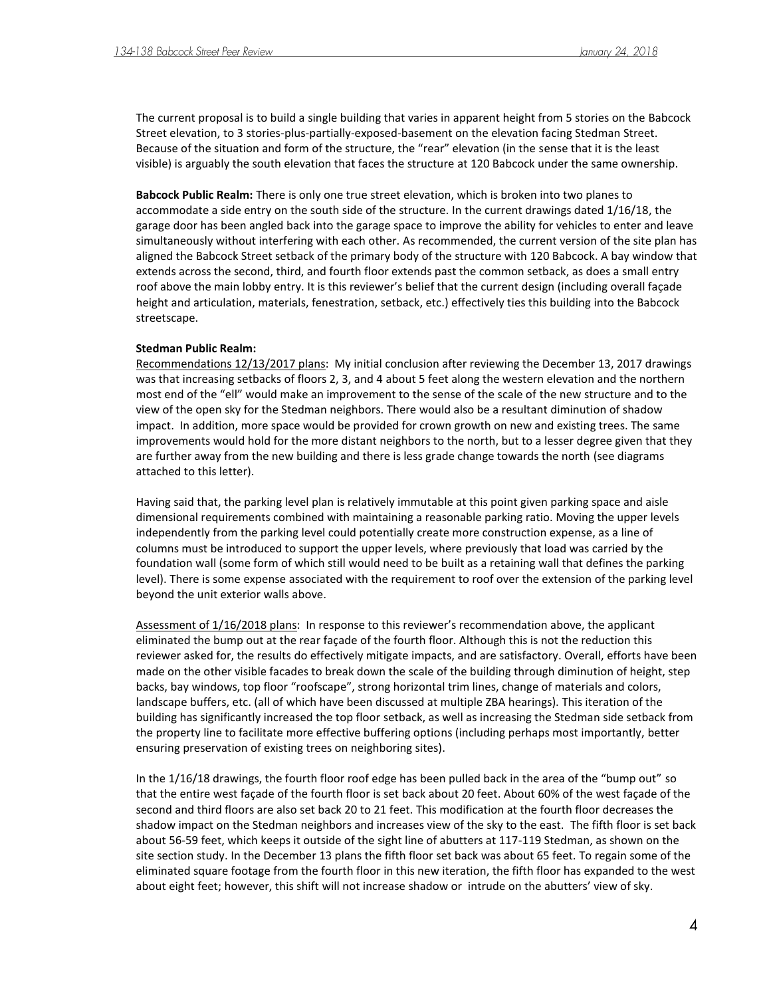The current proposal is to build a single building that varies in apparent height from 5 stories on the Babcock Street elevation, to 3 stories-plus-partially-exposed-basement on the elevation facing Stedman Street. Because of the situation and form of the structure, the "rear" elevation (in the sense that it is the least visible) is arguably the south elevation that faces the structure at 120 Babcock under the same ownership.

**Babcock Public Realm:** There is only one true street elevation, which is broken into two planes to accommodate a side entry on the south side of the structure. In the current drawings dated 1/16/18, the garage door has been angled back into the garage space to improve the ability for vehicles to enter and leave simultaneously without interfering with each other. As recommended, the current version of the site plan has aligned the Babcock Street setback of the primary body of the structure with 120 Babcock. A bay window that extends across the second, third, and fourth floor extends past the common setback, as does a small entry roof above the main lobby entry. It is this reviewer's belief that the current design (including overall façade height and articulation, materials, fenestration, setback, etc.) effectively ties this building into the Babcock streetscape.

#### **Stedman Public Realm:**

Recommendations 12/13/2017 plans: My initial conclusion after reviewing the December 13, 2017 drawings was that increasing setbacks of floors 2, 3, and 4 about 5 feet along the western elevation and the northern most end of the "ell" would make an improvement to the sense of the scale of the new structure and to the view of the open sky for the Stedman neighbors. There would also be a resultant diminution of shadow impact. In addition, more space would be provided for crown growth on new and existing trees. The same improvements would hold for the more distant neighbors to the north, but to a lesser degree given that they are further away from the new building and there is less grade change towards the north (see diagrams attached to this letter).

Having said that, the parking level plan is relatively immutable at this point given parking space and aisle dimensional requirements combined with maintaining a reasonable parking ratio. Moving the upper levels independently from the parking level could potentially create more construction expense, as a line of columns must be introduced to support the upper levels, where previously that load was carried by the foundation wall (some form of which still would need to be built as a retaining wall that defines the parking level). There is some expense associated with the requirement to roof over the extension of the parking level beyond the unit exterior walls above.

Assessment of 1/16/2018 plans: In response to this reviewer's recommendation above, the applicant eliminated the bump out at the rear façade of the fourth floor. Although this is not the reduction this reviewer asked for, the results do effectively mitigate impacts, and are satisfactory. Overall, efforts have been made on the other visible facades to break down the scale of the building through diminution of height, step backs, bay windows, top floor "roofscape", strong horizontal trim lines, change of materials and colors, landscape buffers, etc. (all of which have been discussed at multiple ZBA hearings). This iteration of the building has significantly increased the top floor setback, as well as increasing the Stedman side setback from the property line to facilitate more effective buffering options (including perhaps most importantly, better ensuring preservation of existing trees on neighboring sites).

In the 1/16/18 drawings, the fourth floor roof edge has been pulled back in the area of the "bump out" so that the entire west façade of the fourth floor is set back about 20 feet. About 60% of the west façade of the second and third floors are also set back 20 to 21 feet. This modification at the fourth floor decreases the shadow impact on the Stedman neighbors and increases view of the sky to the east. The fifth floor is set back about 56-59 feet, which keeps it outside of the sight line of abutters at 117-119 Stedman, as shown on the site section study. In the December 13 plans the fifth floor set back was about 65 feet. To regain some of the eliminated square footage from the fourth floor in this new iteration, the fifth floor has expanded to the west about eight feet; however, this shift will not increase shadow or intrude on the abutters' view of sky.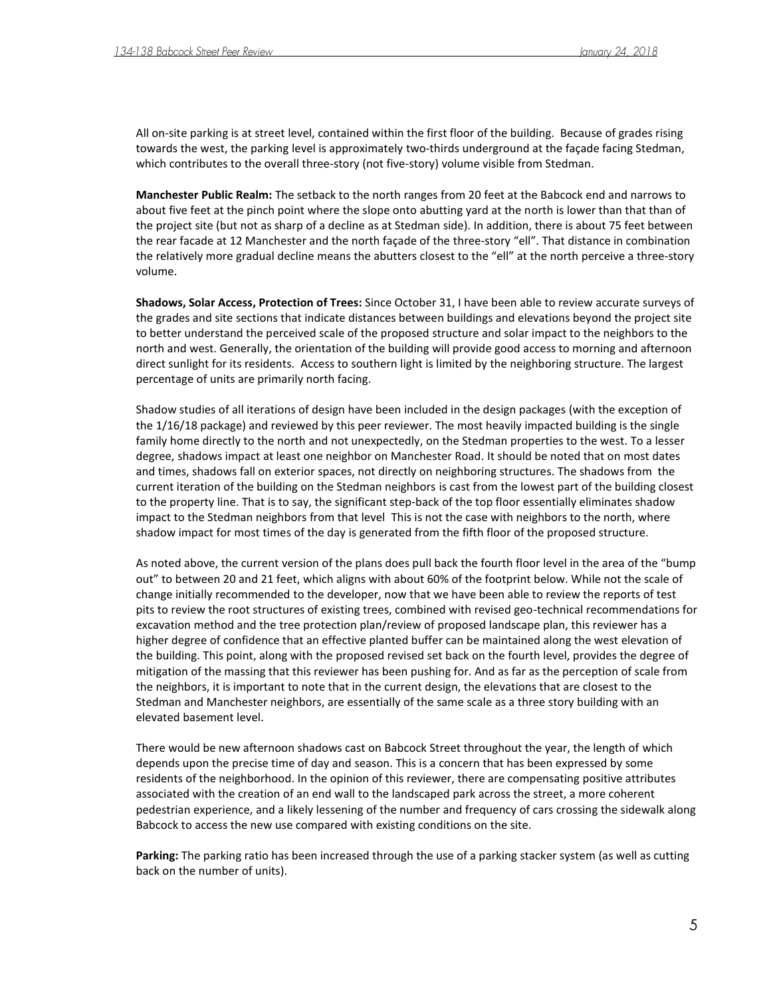All on-site parking is at street level, contained within the first floor of the building. Because of grades rising towards the west, the parking level is approximately two-thirds underground at the façade facing Stedman, which contributes to the overall three-story (not five-story) volume visible from Stedman.

**Manchester Public Realm:** The setback to the north ranges from 20 feet at the Babcock end and narrows to about five feet at the pinch point where the slope onto abutting yard at the north is lower than that than of the project site (but not as sharp of a decline as at Stedman side). In addition, there is about 75 feet between the rear facade at 12 Manchester and the north façade of the three-story "ell". That distance in combination the relatively more gradual decline means the abutters closest to the "ell" at the north perceive a three-story volume.

**Shadows, Solar Access, Protection of Trees:** Since October 31, I have been able to review accurate surveys of the grades and site sections that indicate distances between buildings and elevations beyond the project site to better understand the perceived scale of the proposed structure and solar impact to the neighbors to the north and west. Generally, the orientation of the building will provide good access to morning and afternoon direct sunlight for its residents. Access to southern light is limited by the neighboring structure. The largest percentage of units are primarily north facing.

Shadow studies of all iterations of design have been included in the design packages (with the exception of the 1/16/18 package) and reviewed by this peer reviewer. The most heavily impacted building is the single family home directly to the north and not unexpectedly, on the Stedman properties to the west. To a lesser degree, shadows impact at least one neighbor on Manchester Road. It should be noted that on most dates and times, shadows fall on exterior spaces, not directly on neighboring structures. The shadows from the current iteration of the building on the Stedman neighbors is cast from the lowest part of the building closest to the property line. That is to say, the significant step-back of the top floor essentially eliminates shadow impact to the Stedman neighbors from that level This is not the case with neighbors to the north, where shadow impact for most times of the day is generated from the fifth floor of the proposed structure.

As noted above, the current version of the plans does pull back the fourth floor level in the area of the "bump out" to between 20 and 21 feet, which aligns with about 60% of the footprint below. While not the scale of change initially recommended to the developer, now that we have been able to review the reports of test pits to review the root structures of existing trees, combined with revised geo-technical recommendations for excavation method and the tree protection plan/review of proposed landscape plan, this reviewer has a higher degree of confidence that an effective planted buffer can be maintained along the west elevation of the building. This point, along with the proposed revised set back on the fourth level, provides the degree of mitigation of the massing that this reviewer has been pushing for. And as far as the perception of scale from the neighbors, it is important to note that in the current design, the elevations that are closest to the Stedman and Manchester neighbors, are essentially of the same scale as a three story building with an elevated basement level.

There would be new afternoon shadows cast on Babcock Street throughout the year, the length of which depends upon the precise time of day and season. This is a concern that has been expressed by some residents of the neighborhood. In the opinion of this reviewer, there are compensating positive attributes associated with the creation of an end wall to the landscaped park across the street, a more coherent pedestrian experience, and a likely lessening of the number and frequency of cars crossing the sidewalk along Babcock to access the new use compared with existing conditions on the site.

**Parking:** The parking ratio has been increased through the use of a parking stacker system (as well as cutting back on the number of units).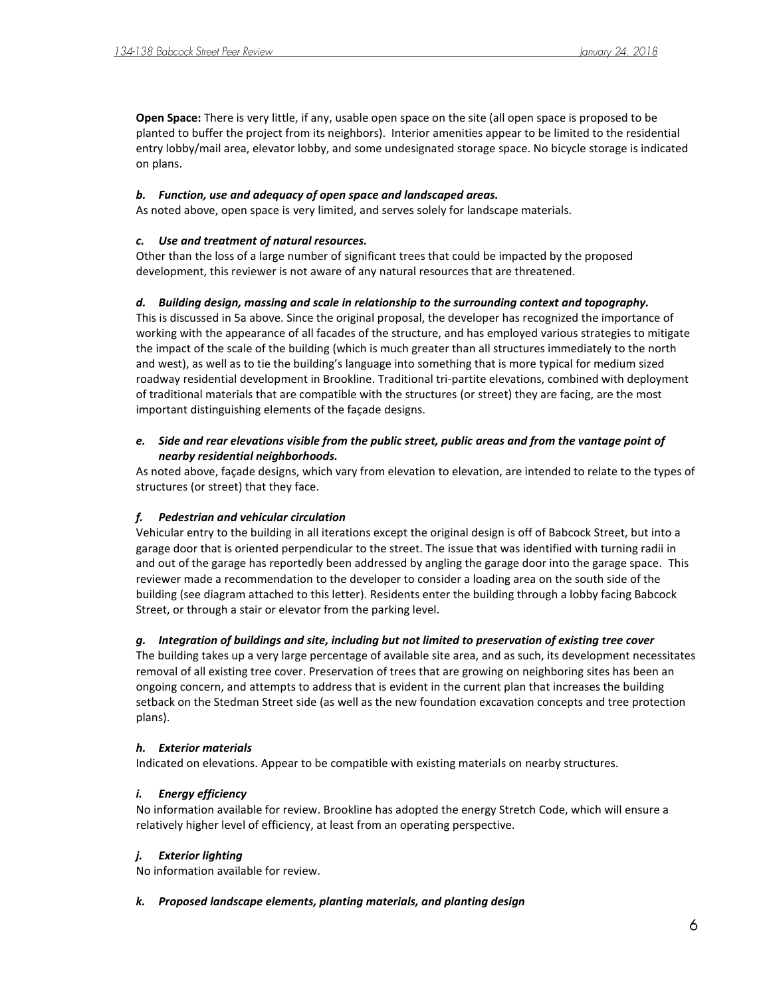**Open Space:** There is very little, if any, usable open space on the site (all open space is proposed to be planted to buffer the project from its neighbors). Interior amenities appear to be limited to the residential entry lobby/mail area, elevator lobby, and some undesignated storage space. No bicycle storage is indicated on plans.

#### *b. Function, use and adequacy of open space and landscaped areas.*

As noted above, open space is very limited, and serves solely for landscape materials.

#### *c. Use and treatment of natural resources.*

Other than the loss of a large number of significant trees that could be impacted by the proposed development, this reviewer is not aware of any natural resources that are threatened.

#### *d. Building design, massing and scale in relationship to the surrounding context and topography.*

This is discussed in 5a above. Since the original proposal, the developer has recognized the importance of working with the appearance of all facades of the structure, and has employed various strategies to mitigate the impact of the scale of the building (which is much greater than all structures immediately to the north and west), as well as to tie the building's language into something that is more typical for medium sized roadway residential development in Brookline. Traditional tri-partite elevations, combined with deployment of traditional materials that are compatible with the structures (or street) they are facing, are the most important distinguishing elements of the façade designs.

# *e. Side and rear elevations visible from the public street, public areas and from the vantage point of nearby residential neighborhoods.*

As noted above, façade designs, which vary from elevation to elevation, are intended to relate to the types of structures (or street) that they face.

# *f. Pedestrian and vehicular circulation*

Vehicular entry to the building in all iterations except the original design is off of Babcock Street, but into a garage door that is oriented perpendicular to the street. The issue that was identified with turning radii in and out of the garage has reportedly been addressed by angling the garage door into the garage space. This reviewer made a recommendation to the developer to consider a loading area on the south side of the building (see diagram attached to this letter). Residents enter the building through a lobby facing Babcock Street, or through a stair or elevator from the parking level.

# *g. Integration of buildings and site, including but not limited to preservation of existing tree cover*

The building takes up a very large percentage of available site area, and as such, its development necessitates removal of all existing tree cover. Preservation of trees that are growing on neighboring sites has been an ongoing concern, and attempts to address that is evident in the current plan that increases the building setback on the Stedman Street side (as well as the new foundation excavation concepts and tree protection plans).

#### *h. Exterior materials*

Indicated on elevations. Appear to be compatible with existing materials on nearby structures.

# *i. Energy efficiency*

No information available for review. Brookline has adopted the energy Stretch Code, which will ensure a relatively higher level of efficiency, at least from an operating perspective.

#### *j. Exterior lighting*

No information available for review.

#### *k. Proposed landscape elements, planting materials, and planting design*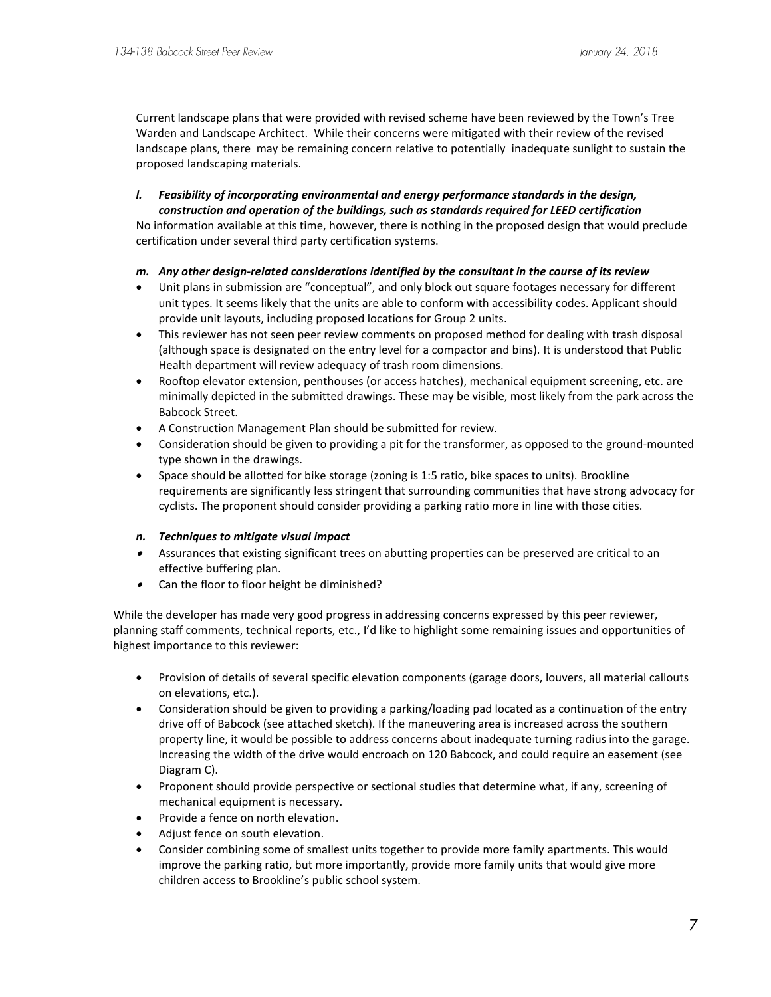Current landscape plans that were provided with revised scheme have been reviewed by the Town's Tree Warden and Landscape Architect. While their concerns were mitigated with their review of the revised landscape plans, there may be remaining concern relative to potentially inadequate sunlight to sustain the proposed landscaping materials.

### *l. Feasibility of incorporating environmental and energy performance standards in the design, construction and operation of the buildings, such as standards required for LEED certification*

No information available at this time, however, there is nothing in the proposed design that would preclude certification under several third party certification systems.

# *m. Any other design-related considerations identified by the consultant in the course of its review*

- Unit plans in submission are "conceptual", and only block out square footages necessary for different unit types. It seems likely that the units are able to conform with accessibility codes. Applicant should provide unit layouts, including proposed locations for Group 2 units.
- This reviewer has not seen peer review comments on proposed method for dealing with trash disposal (although space is designated on the entry level for a compactor and bins). It is understood that Public Health department will review adequacy of trash room dimensions.
- Rooftop elevator extension, penthouses (or access hatches), mechanical equipment screening, etc. are minimally depicted in the submitted drawings. These may be visible, most likely from the park across the Babcock Street.
- A Construction Management Plan should be submitted for review.
- Consideration should be given to providing a pit for the transformer, as opposed to the ground-mounted type shown in the drawings.
- Space should be allotted for bike storage (zoning is 1:5 ratio, bike spaces to units). Brookline requirements are significantly less stringent that surrounding communities that have strong advocacy for cyclists. The proponent should consider providing a parking ratio more in line with those cities.

# *n. Techniques to mitigate visual impact*

- Assurances that existing significant trees on abutting properties can be preserved are critical to an effective buffering plan.
- Can the floor to floor height be diminished?

While the developer has made very good progress in addressing concerns expressed by this peer reviewer, planning staff comments, technical reports, etc., I'd like to highlight some remaining issues and opportunities of highest importance to this reviewer:

- Provision of details of several specific elevation components (garage doors, louvers, all material callouts on elevations, etc.).
- Consideration should be given to providing a parking/loading pad located as a continuation of the entry drive off of Babcock (see attached sketch). If the maneuvering area is increased across the southern property line, it would be possible to address concerns about inadequate turning radius into the garage. Increasing the width of the drive would encroach on 120 Babcock, and could require an easement (see Diagram C).
- Proponent should provide perspective or sectional studies that determine what, if any, screening of mechanical equipment is necessary.
- Provide a fence on north elevation.
- Adjust fence on south elevation.
- Consider combining some of smallest units together to provide more family apartments. This would improve the parking ratio, but more importantly, provide more family units that would give more children access to Brookline's public school system.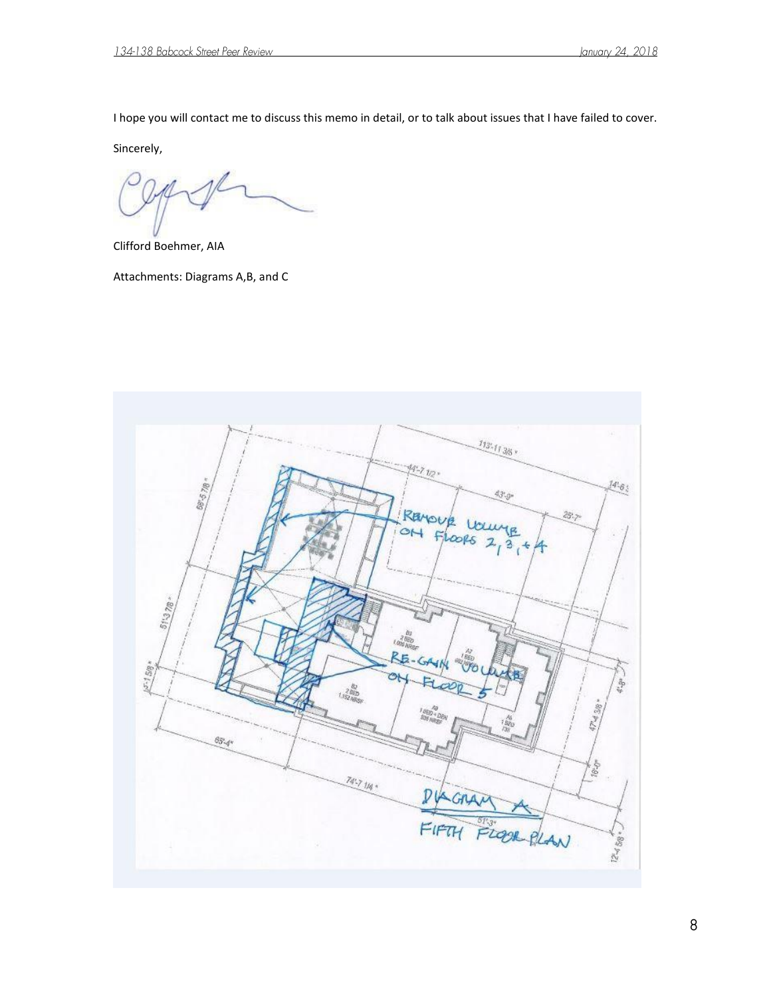I hope you will contact me to discuss this memo in detail, or to talk about issues that I have failed to cover.

Sincerely,

Clifford Boehmer, AIA

Attachments: Diagrams A,B, and C

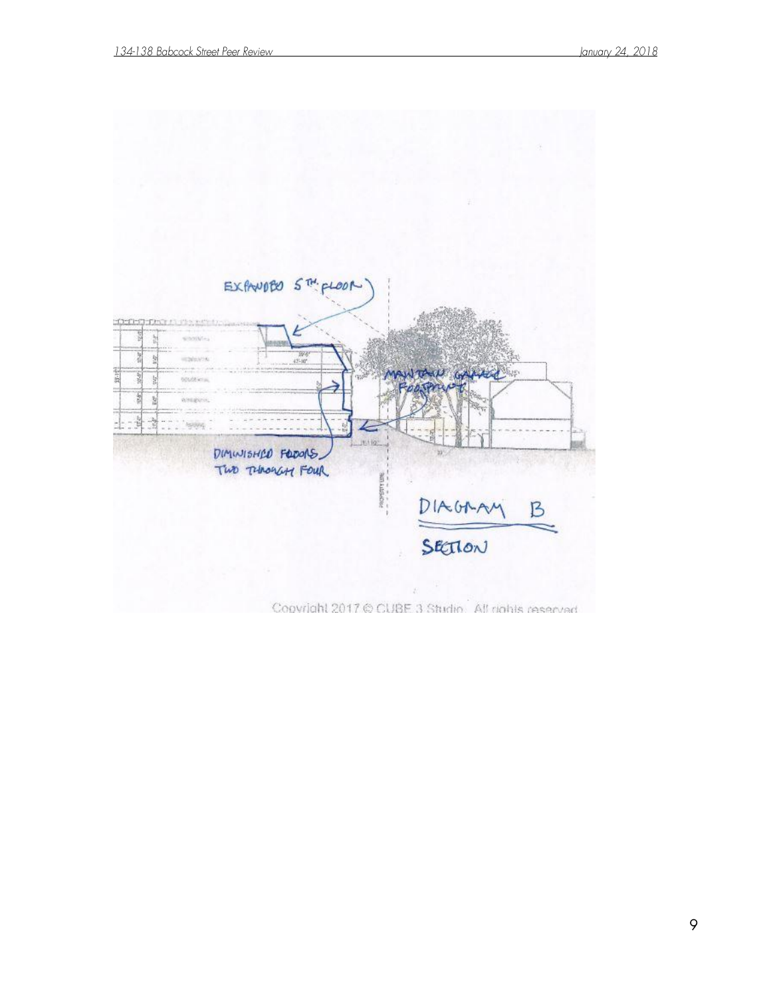